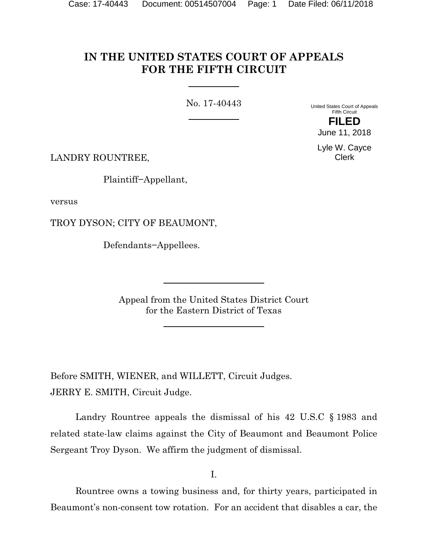# **IN THE UNITED STATES COURT OF APPEALS FOR THE FIFTH CIRCUIT**

No. 17-40443

United States Court of Appeals Fifth Circuit

**FILED** June 11, 2018

Lyle W. Cayce Clerk

LANDRY ROUNTREE,

Plaintiff−Appellant,

versus

TROY DYSON; CITY OF BEAUMONT,

Defendants−Appellees.

Appeal from the United States District Court for the Eastern District of Texas

Before SMITH, WIENER, and WILLETT, Circuit Judges. JERRY E. SMITH, Circuit Judge.

Landry Rountree appeals the dismissal of his 42 U.S.C § 1983 and related state-law claims against the City of Beaumont and Beaumont Police Sergeant Troy Dyson. We affirm the judgment of dismissal.

I.

Rountree owns a towing business and, for thirty years, participated in Beaumont's non-consent tow rotation. For an accident that disables a car, the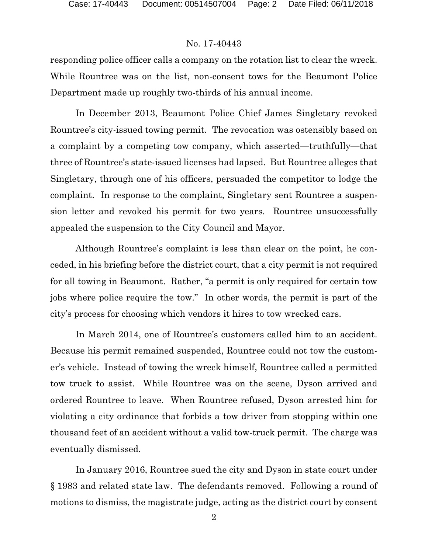#### No. 17-40443

responding police officer calls a company on the rotation list to clear the wreck. While Rountree was on the list, non-consent tows for the Beaumont Police Department made up roughly two-thirds of his annual income.

In December 2013, Beaumont Police Chief James Singletary revoked Rountree's city-issued towing permit. The revocation was ostensibly based on a complaint by a competing tow company, which asserted—truthfully—that three of Rountree's state-issued licenses had lapsed. But Rountree alleges that Singletary, through one of his officers, persuaded the competitor to lodge the complaint. In response to the complaint, Singletary sent Rountree a suspension letter and revoked his permit for two years. Rountree unsuccessfully appealed the suspension to the City Council and Mayor.

Although Rountree's complaint is less than clear on the point, he conceded, in his briefing before the district court, that a city permit is not required for all towing in Beaumont. Rather, "a permit is only required for certain tow jobs where police require the tow." In other words, the permit is part of the city's process for choosing which vendors it hires to tow wrecked cars.

In March 2014, one of Rountree's customers called him to an accident. Because his permit remained suspended, Rountree could not tow the customer's vehicle. Instead of towing the wreck himself, Rountree called a permitted tow truck to assist. While Rountree was on the scene, Dyson arrived and ordered Rountree to leave. When Rountree refused, Dyson arrested him for violating a city ordinance that forbids a tow driver from stopping within one thousand feet of an accident without a valid tow-truck permit. The charge was eventually dismissed.

In January 2016, Rountree sued the city and Dyson in state court under § 1983 and related state law. The defendants removed. Following a round of motions to dismiss, the magistrate judge, acting as the district court by consent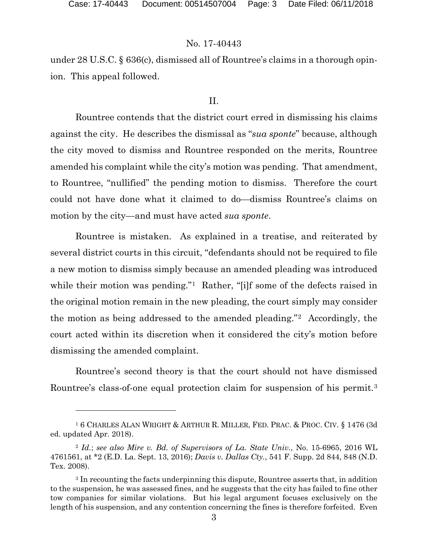l

#### No. 17-40443

under 28 U.S.C. § 636(c), dismissed all of Rountree's claims in a thorough opinion. This appeal followed.

#### II.

Rountree contends that the district court erred in dismissing his claims against the city. He describes the dismissal as "*sua sponte*" because, although the city moved to dismiss and Rountree responded on the merits, Rountree amended his complaint while the city's motion was pending. That amendment, to Rountree, "nullified" the pending motion to dismiss. Therefore the court could not have done what it claimed to do—dismiss Rountree's claims on motion by the city—and must have acted *sua sponte*.

Rountree is mistaken. As explained in a treatise, and reiterated by several district courts in this circuit, "defendants should not be required to file a new motion to dismiss simply because an amended pleading was introduced while their motion was pending."<sup>[1](#page-2-0)</sup> Rather, "[i]f some of the defects raised in the original motion remain in the new pleading, the court simply may consider the motion as being addressed to the amended pleading."[2](#page-2-1) Accordingly, the court acted within its discretion when it considered the city's motion before dismissing the amended complaint.

Rountree's second theory is that the court should not have dismissed Rountree's class-of-one equal protection claim for suspension of his permit.<sup>[3](#page-2-2)</sup>

<span id="page-2-0"></span><sup>1</sup> 6 CHARLES ALAN WRIGHT & ARTHUR R. MILLER, FED. PRAC. & PROC. CIV. § 1476 (3d ed. updated Apr. 2018).

<span id="page-2-1"></span><sup>2</sup> *Id.*; *see also Mire v. Bd. of Supervisors of La. State Univ.*, No. 15-6965, 2016 WL 4761561, at \*2 (E.D. La. Sept. 13, 2016); *Davis v. Dallas Cty.*, 541 F. Supp. 2d 844, 848 (N.D. Tex. 2008).

<span id="page-2-2"></span><sup>&</sup>lt;sup>3</sup> In recounting the facts underpinning this dispute, Rountree asserts that, in addition to the suspension, he was assessed fines, and he suggests that the city has failed to fine other tow companies for similar violations. But his legal argument focuses exclusively on the length of his suspension, and any contention concerning the fines is therefore forfeited. Even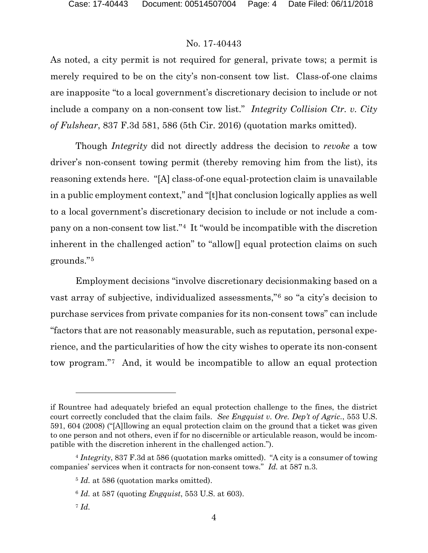## No. 17-40443

As noted, a city permit is not required for general, private tows; a permit is merely required to be on the city's non-consent tow list. Class-of-one claims are inapposite "to a local government's discretionary decision to include or not include a company on a non-consent tow list." *Integrity Collision Ctr. v. City of Fulshear*, 837 F.3d 581, 586 (5th Cir. 2016) (quotation marks omitted).

Though *Integrity* did not directly address the decision to *revoke* a tow driver's non-consent towing permit (thereby removing him from the list), its reasoning extends here. "[A] class-of-one equal-protection claim is unavailable in a public employment context," and "[t]hat conclusion logically applies as well to a local government's discretionary decision to include or not include a company on a non-consent tow list."[4](#page-3-0) It "would be incompatible with the discretion inherent in the challenged action" to "allow[] equal protection claims on such grounds."[5](#page-3-1) 

Employment decisions "involve discretionary decisionmaking based on a vast array of subjective, individualized assessments,"[6](#page-3-2) so "a city's decision to purchase services from private companies for its non-consent tows" can include "factors that are not reasonably measurable, such as reputation, personal experience, and the particularities of how the city wishes to operate its non-consent tow program."[7](#page-3-3) And, it would be incompatible to allow an equal protection

 $\overline{a}$ 

if Rountree had adequately briefed an equal protection challenge to the fines, the district court correctly concluded that the claim fails. *See Engquist v. Ore. Dep't of Agric.*, 553 U.S. 591, 604 (2008) ("[A]llowing an equal protection claim on the ground that a ticket was given to one person and not others, even if for no discernible or articulable reason, would be incompatible with the discretion inherent in the challenged action.").

<span id="page-3-3"></span><span id="page-3-2"></span><span id="page-3-1"></span><span id="page-3-0"></span><sup>4</sup> *Integrity*, 837 F.3d at 586 (quotation marks omitted). "A city is a consumer of towing companies' services when it contracts for non-consent tows." *Id.* at 587 n.3.

<sup>&</sup>lt;sup>5</sup> *Id.* at 586 (quotation marks omitted).

<sup>6</sup> *Id.* at 587 (quoting *Engquist*, 553 U.S. at 603).

<sup>7</sup> *Id.*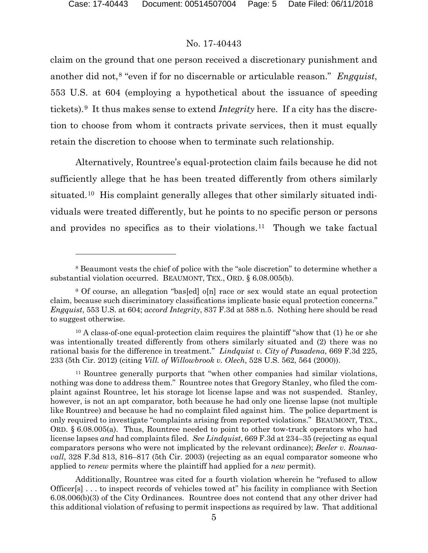$\overline{a}$ 

#### No. 17-40443

claim on the ground that one person received a discretionary punishment and another did not,[8](#page-4-0) "even if for no discernable or articulable reason." *Engquist*, 553 U.S. at 604 (employing a hypothetical about the issuance of speeding tickets).[9](#page-4-1) It thus makes sense to extend *Integrity* here. If a city has the discretion to choose from whom it contracts private services, then it must equally retain the discretion to choose when to terminate such relationship.

Alternatively, Rountree's equal-protection claim fails because he did not sufficiently allege that he has been treated differently from others similarly situated.[10](#page-4-2) His complaint generally alleges that other similarly situated individuals were treated differently, but he points to no specific person or persons and provides no specifics as to their violations.[11](#page-4-3) Though we take factual

Additionally, Rountree was cited for a fourth violation wherein he "refused to allow Officer[s] . . . to inspect records of vehicles towed at" his facility in compliance with Section 6.08.006(b)(3) of the City Ordinances. Rountree does not contend that any other driver had this additional violation of refusing to permit inspections as required by law. That additional

<span id="page-4-0"></span><sup>8</sup> Beaumont vests the chief of police with the "sole discretion" to determine whether a substantial violation occurred. BEAUMONT, TEX., ORD. § 6.08.005(b).

<span id="page-4-1"></span><sup>&</sup>lt;sup>9</sup> Of course, an allegation "bas[ed] o[n] race or sex would state an equal protection claim, because such discriminatory classifications implicate basic equal protection concerns." *Engquist*, 553 U.S. at 604; *accord Integrity*, 837 F.3d at 588 n.5. Nothing here should be read to suggest otherwise.

<span id="page-4-2"></span><sup>&</sup>lt;sup>10</sup> A class-of-one equal-protection claim requires the plaintiff "show that (1) he or she was intentionally treated differently from others similarly situated and (2) there was no rational basis for the difference in treatment." *Lindquist v. City of Pasadena*, 669 F.3d 225, 233 (5th Cir. 2012) (citing *Vill. of Willowbrook v. Olech*, 528 U.S. 562, 564 (2000)).

<span id="page-4-3"></span><sup>11</sup> Rountree generally purports that "when other companies had similar violations, nothing was done to address them." Rountree notes that Gregory Stanley, who filed the complaint against Rountree, let his storage lot license lapse and was not suspended. Stanley, however, is not an apt comparator, both because he had only one license lapse (not multiple like Rountree) and because he had no complaint filed against him. The police department is only required to investigate "complaints arising from reported violations." BEAUMONT, TEX., ORD. § 6.08.005(a). Thus, Rountree needed to point to other tow-truck operators who had license lapses *and* had complaints filed. *See Lindquist*, 669 F.3d at 234–35 (rejecting as equal comparators persons who were not implicated by the relevant ordinance); *Beeler v. Rounsavall*, 328 F.3d 813, 816–817 (5th Cir. 2003) (rejecting as an equal comparator someone who applied to *renew* permits where the plaintiff had applied for a *new* permit).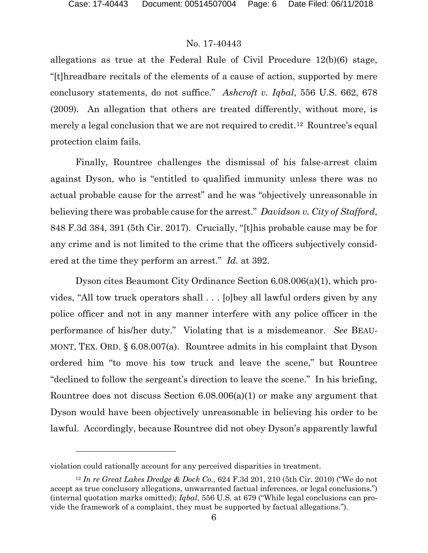## No. 17-40443

allegations as true at the Federal Rule of Civil Procedure 12(b)(6) stage, "[t]hreadbare recitals of the elements of a cause of action, supported by mere conclusory statements, do not suffice." *Ashcroft v. Iqbal*, 556 U.S. 662, 678 (2009). An allegation that others are treated differently, without more, is merely a legal conclusion that we are not required to credit.<sup>12</sup> Rountree's equal protection claim fails.

Finally, Rountree challenges the dismissal of his false-arrest claim against Dyson, who is "entitled to qualified immunity unless there was no actual probable cause for the arrest" and he was "objectively unreasonable in believing there was probable cause for the arrest." *Davidson v. City of Stafford*, 848 F.3d 384, 391 (5th Cir. 2017). Crucially, "[t]his probable cause may be for any crime and is not limited to the crime that the officers subjectively considered at the time they perform an arrest." *Id.* at 392.

Dyson cites Beaumont City Ordinance Section 6.08.006(a)(1), which provides, "All tow truck operators shall . . . [o]bey all lawful orders given by any police officer and not in any manner interfere with any police officer in the performance of his/her duty." Violating that is a misdemeanor. *See* BEAU-MONT, TEX. ORD. § 6.08.007(a). Rountree admits in his complaint that Dyson ordered him "to move his tow truck and leave the scene," but Rountree "declined to follow the sergeant's direction to leave the scene." In his briefing, Rountree does not discuss Section 6.08.006(a)(1) or make any argument that Dyson would have been objectively unreasonable in believing his order to be lawful. Accordingly, because Rountree did not obey Dyson's apparently lawful

l

violation could rationally account for any perceived disparities in treatment.

<span id="page-5-0"></span><sup>12</sup> *In re Great Lakes Dredge & Dock Co.*, 624 F.3d 201, 210 (5th Cir. 2010) ("We do not accept as true conclusory allegations, unwarranted factual inferences, or legal conclusions.") (internal quotation marks omitted); *Iqbal*, 556 U.S. at 679 ("While legal conclusions can provide the framework of a complaint, they must be supported by factual allegations.").